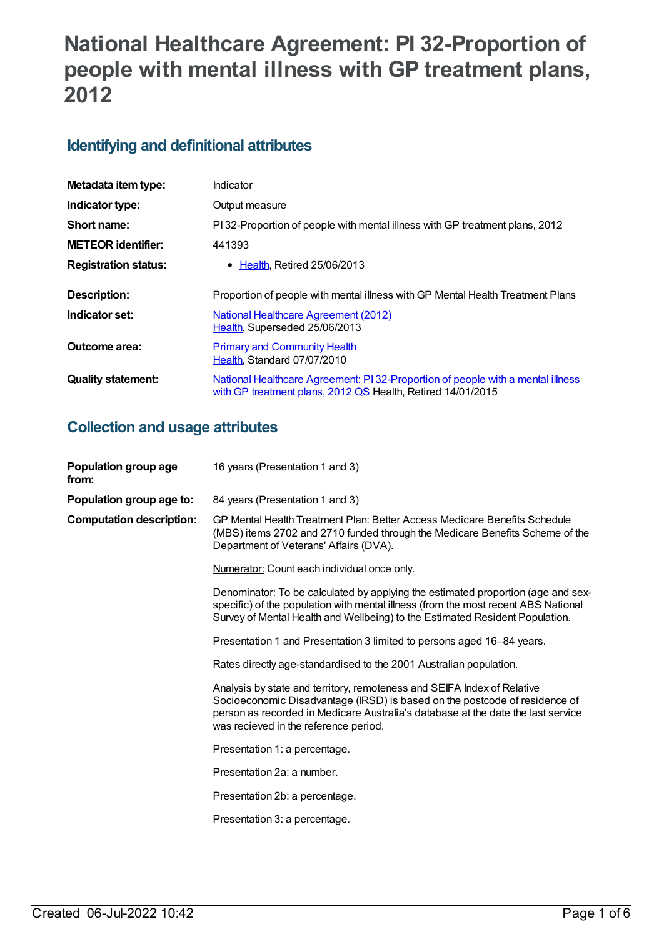# **National Healthcare Agreement: PI 32-Proportion of people with mental illness with GP treatment plans, 2012**

### **Identifying and definitional attributes**

| Metadata item type:         | Indicator                                                                                                                                      |
|-----------------------------|------------------------------------------------------------------------------------------------------------------------------------------------|
| Indicator type:             | Output measure                                                                                                                                 |
| Short name:                 | PI32-Proportion of people with mental illness with GP treatment plans, 2012                                                                    |
| <b>METEOR identifier:</b>   | 441393                                                                                                                                         |
| <b>Registration status:</b> | • Health, Retired 25/06/2013                                                                                                                   |
|                             |                                                                                                                                                |
| <b>Description:</b>         | Proportion of people with mental illness with GP Mental Health Treatment Plans                                                                 |
| Indicator set:              | National Healthcare Agreement (2012)<br>Health, Superseded 25/06/2013                                                                          |
| Outcome area:               | <b>Primary and Community Health</b><br>Health, Standard 07/07/2010                                                                             |
| <b>Quality statement:</b>   | National Healthcare Agreement: PI 32-Proportion of people with a mental illness<br>with GP treatment plans, 2012 QS Health, Retired 14/01/2015 |

### **Collection and usage attributes**

| Population group age<br>from:   | 16 years (Presentation 1 and 3)                                                                                                                                                                                                                                                    |
|---------------------------------|------------------------------------------------------------------------------------------------------------------------------------------------------------------------------------------------------------------------------------------------------------------------------------|
| Population group age to:        | 84 years (Presentation 1 and 3)                                                                                                                                                                                                                                                    |
| <b>Computation description:</b> | <b>GP Mental Health Treatment Plan: Better Access Medicare Benefits Schedule</b><br>(MBS) items 2702 and 2710 funded through the Medicare Benefits Scheme of the<br>Department of Veterans' Affairs (DVA).                                                                         |
|                                 | Numerator: Count each individual once only.                                                                                                                                                                                                                                        |
|                                 | Denominator: To be calculated by applying the estimated proportion (age and sex-<br>specific) of the population with mental illness (from the most recent ABS National<br>Survey of Mental Health and Wellbeing) to the Estimated Resident Population.                             |
|                                 | Presentation 1 and Presentation 3 limited to persons aged 16–84 years.                                                                                                                                                                                                             |
|                                 | Rates directly age-standardised to the 2001 Australian population.                                                                                                                                                                                                                 |
|                                 | Analysis by state and territory, remoteness and SEIFA Index of Relative<br>Socioeconomic Disadvantage (IRSD) is based on the postcode of residence of<br>person as recorded in Medicare Australia's database at the date the last service<br>was recieved in the reference period. |
|                                 | Presentation 1: a percentage.                                                                                                                                                                                                                                                      |
|                                 | Presentation 2a: a number.                                                                                                                                                                                                                                                         |
|                                 | Presentation 2b: a percentage.                                                                                                                                                                                                                                                     |
|                                 | Presentation 3: a percentage.                                                                                                                                                                                                                                                      |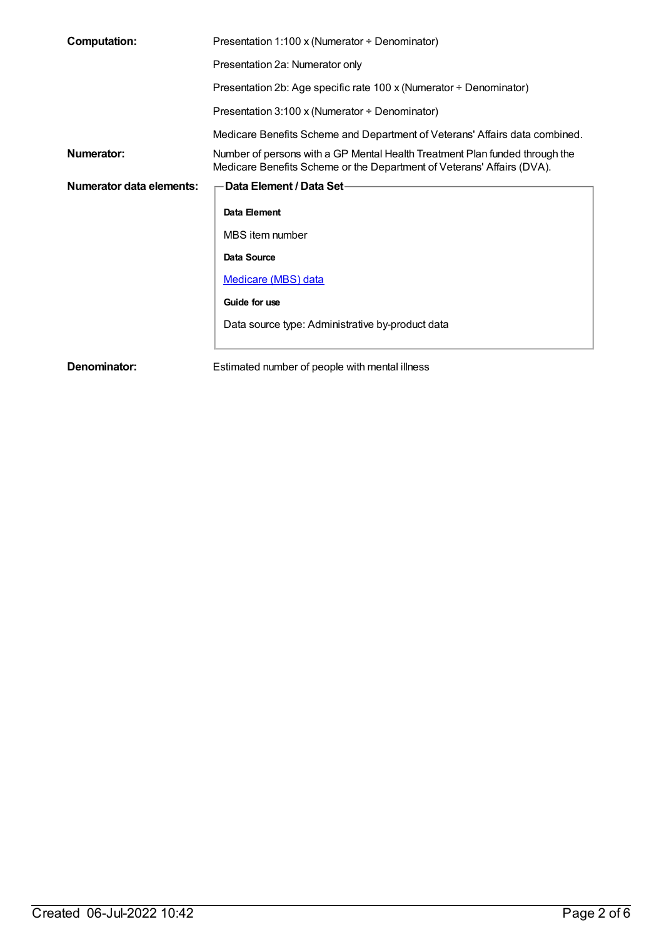| <b>Computation:</b>      | Presentation 1:100 x (Numerator ÷ Denominator)                                                                                                        |  |
|--------------------------|-------------------------------------------------------------------------------------------------------------------------------------------------------|--|
|                          | Presentation 2a: Numerator only                                                                                                                       |  |
|                          | Presentation 2b: Age specific rate 100 x (Numerator ÷ Denominator)                                                                                    |  |
|                          | Presentation 3:100 x (Numerator $\div$ Denominator)                                                                                                   |  |
|                          | Medicare Benefits Scheme and Department of Veterans' Affairs data combined.                                                                           |  |
| Numerator:               | Number of persons with a GP Mental Health Treatment Plan funded through the<br>Medicare Benefits Scheme or the Department of Veterans' Affairs (DVA). |  |
| Numerator data elements: | Data Element / Data Set-                                                                                                                              |  |
|                          | Data Element                                                                                                                                          |  |
|                          | MBS item number                                                                                                                                       |  |
|                          | Data Source                                                                                                                                           |  |
|                          | Medicare (MBS) data                                                                                                                                   |  |
|                          | Guide for use                                                                                                                                         |  |
|                          | Data source type: Administrative by-product data                                                                                                      |  |
| Denominator:             | Estimated number of people with mental illness                                                                                                        |  |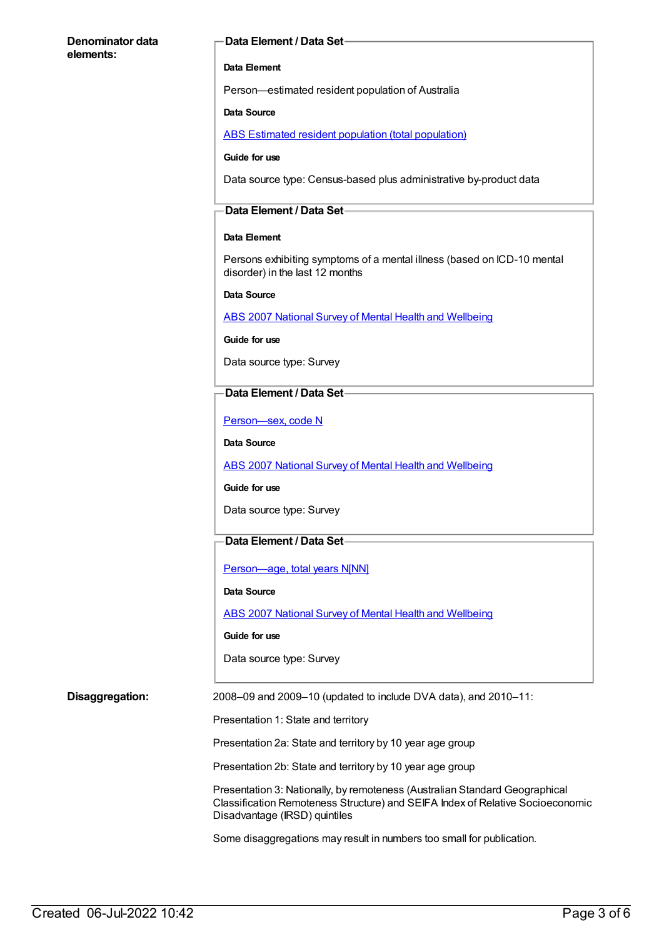#### **Denominator data elements:**

#### **Data Element / Data Set**

#### **Data Element**

Person—estimated resident population of Australia

#### **Data Source**

ABS Estimated resident population (total [population\)](https://meteor.aihw.gov.au/content/393625)

#### **Guide for use**

Data source type: Census-based plus administrative by-product data

#### **Data Element / Data Set**

#### **Data Element**

Persons exhibiting symptoms of a mental illness (based on ICD-10 mental disorder) in the last 12 months

**Data Source**

ABS 2007 National Survey of Mental Health and [Wellbeing](https://meteor.aihw.gov.au/content/394995)

#### **Guide for use**

Data source type: Survey

#### **Data Element / Data Set**

[Person—sex,](https://meteor.aihw.gov.au/content/287316) code N

**Data Source**

ABS 2007 National Survey of Mental Health and [Wellbeing](https://meteor.aihw.gov.au/content/394995)

**Guide for use**

Data source type: Survey

### **Data Element / Data Set**

[Person—age,](https://meteor.aihw.gov.au/content/303794) total years N[NN]

#### **Data Source**

ABS 2007 National Survey of Mental Health and [Wellbeing](https://meteor.aihw.gov.au/content/394995)

**Guide for use**

Data source type: Survey

**Disaggregation:** 2008–09 and 2009–10 (updated to include DVA data), and 2010–11:

Presentation 1: State and territory

Presentation 2a: State and territory by 10 year age group

Presentation 2b: State and territory by 10 year age group

Presentation 3: Nationally, by remoteness (Australian Standard Geographical Classification Remoteness Structure) and SEIFA Index of Relative Socioeconomic Disadvantage (IRSD) quintiles

Some disaggregations may result in numbers too small for publication.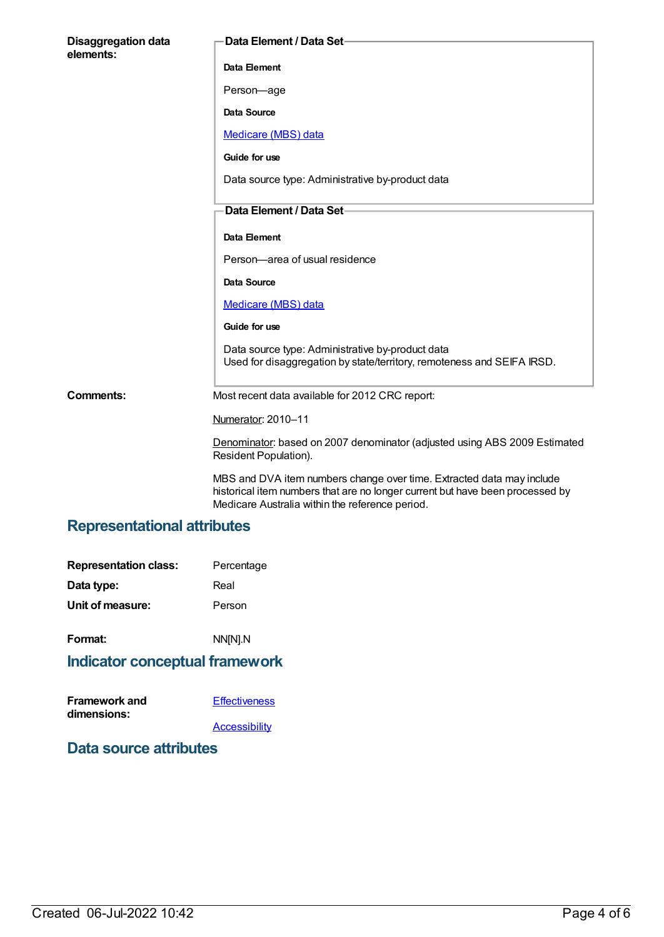| <b>Disaggregation data</b><br>elements: | Data Element / Data Set-                                                                                                                                                                                  |
|-----------------------------------------|-----------------------------------------------------------------------------------------------------------------------------------------------------------------------------------------------------------|
|                                         | Data Element                                                                                                                                                                                              |
|                                         | Person-age                                                                                                                                                                                                |
|                                         | Data Source                                                                                                                                                                                               |
|                                         | Medicare (MBS) data                                                                                                                                                                                       |
|                                         | Guide for use                                                                                                                                                                                             |
|                                         | Data source type: Administrative by-product data                                                                                                                                                          |
|                                         | Data Element / Data Set-                                                                                                                                                                                  |
|                                         |                                                                                                                                                                                                           |
|                                         | Data Element                                                                                                                                                                                              |
|                                         | Person-area of usual residence                                                                                                                                                                            |
|                                         | Data Source                                                                                                                                                                                               |
|                                         | Medicare (MBS) data                                                                                                                                                                                       |
|                                         | Guide for use                                                                                                                                                                                             |
|                                         | Data source type: Administrative by-product data<br>Used for disaggregation by state/territory, remoteness and SEIFA IRSD.                                                                                |
| <b>Comments:</b>                        | Most recent data available for 2012 CRC report:                                                                                                                                                           |
|                                         | Numerator: 2010-11                                                                                                                                                                                        |
|                                         | Denominator: based on 2007 denominator (adjusted using ABS 2009 Estimated<br>Resident Population).                                                                                                        |
|                                         | MBS and DVA item numbers change over time. Extracted data may include<br>historical item numbers that are no longer current but have been processed by<br>Medicare Australia within the reference period. |

### **Representational attributes**

| <b>Representation class:</b> | Percentage |
|------------------------------|------------|
| Data type:                   | Real       |
| Unit of measure:             | Person     |
|                              |            |

# **Format:** NN[N].N

### **Indicator conceptual framework**

| <b>Framework and</b> | <b>Effectiveness</b> |
|----------------------|----------------------|
| dimensions:          |                      |
|                      | Accessibility        |

### **Data source attributes**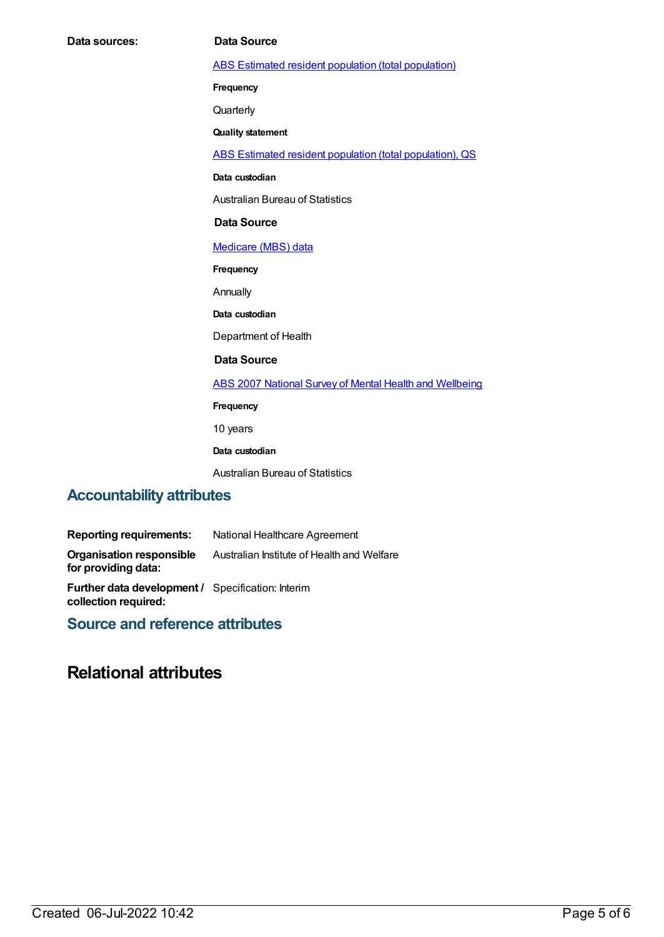| Data sources: | <b>Data Source</b>                                       |
|---------------|----------------------------------------------------------|
|               | ABS Estimated resident population (total population)     |
|               | Frequency                                                |
|               | Quarterly                                                |
|               | <b>Quality statement</b>                                 |
|               | ABS Estimated resident population (total population), QS |
|               | Data custodian                                           |
|               | <b>Australian Bureau of Statistics</b>                   |
|               | <b>Data Source</b>                                       |
|               | Medicare (MBS) data                                      |
|               | Frequency                                                |
|               | Annually                                                 |
|               | Data custodian                                           |
|               | Department of Health                                     |
|               | <b>Data Source</b>                                       |
|               | ABS 2007 National Survey of Mental Health and Wellbeing  |
|               | Frequency                                                |
|               | 10 years                                                 |
|               | Data custodian                                           |
|               | <b>Australian Bureau of Statistics</b>                   |

# **Accountability attributes**

| <b>Reporting requirements:</b>                                                   | National Healthcare Agreement              |
|----------------------------------------------------------------------------------|--------------------------------------------|
| <b>Organisation responsible</b><br>for providing data:                           | Australian Institute of Health and Welfare |
| <b>Further data development / Specification: Interim</b><br>collection required: |                                            |

**Source and reference attributes**

## **Relational attributes**